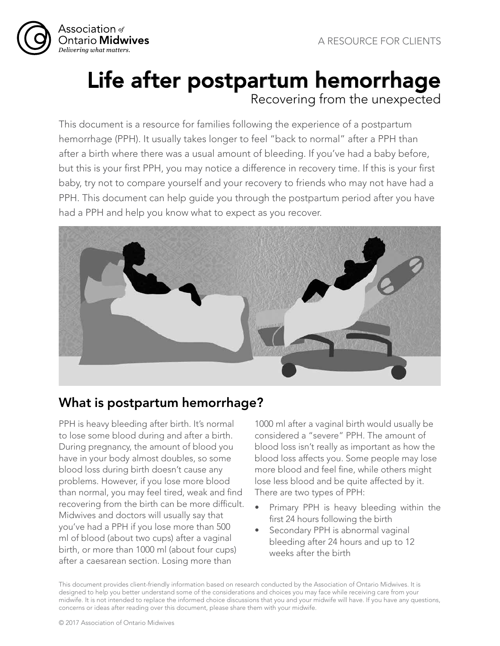

# Life after postpartum hemorrhage Recovering from the unexpected

This document is a resource for families following the experience of a postpartum hemorrhage (PPH). It usually takes longer to feel "back to normal" after a PPH than after a birth where there was a usual amount of bleeding. If you've had a baby before, but this is your first PPH, you may notice a difference in recovery time. If this is your first baby, try not to compare yourself and your recovery to friends who may not have had a PPH. This document can help guide you through the postpartum period after you have had a PPH and help you know what to expect as you recover.



## What is postpartum hemorrhage?

PPH is heavy bleeding after birth. It's normal to lose some blood during and after a birth. During pregnancy, the amount of blood you have in your body almost doubles, so some blood loss during birth doesn't cause any problems. However, if you lose more blood than normal, you may feel tired, weak and find recovering from the birth can be more difficult. Midwives and doctors will usually say that you've had a PPH if you lose more than 500 ml of blood (about two cups) after a vaginal birth, or more than 1000 ml (about four cups) after a caesarean section. Losing more than

1000 ml after a vaginal birth would usually be considered a "severe" PPH. The amount of blood loss isn't really as important as how the blood loss affects you. Some people may lose more blood and feel fine, while others might lose less blood and be quite affected by it. There are two types of PPH:

- Primary PPH is heavy bleeding within the first 24 hours following the birth
- Secondary PPH is abnormal vaginal bleeding after 24 hours and up to 12 weeks after the birth

This document provides client-friendly information based on research conducted by the Association of Ontario Midwives. It is designed to help you better understand some of the considerations and choices you may face while receiving care from your midwife. It is not intended to replace the informed choice discussions that you and your midwife will have. If you have any questions, concerns or ideas after reading over this document, please share them with your midwife.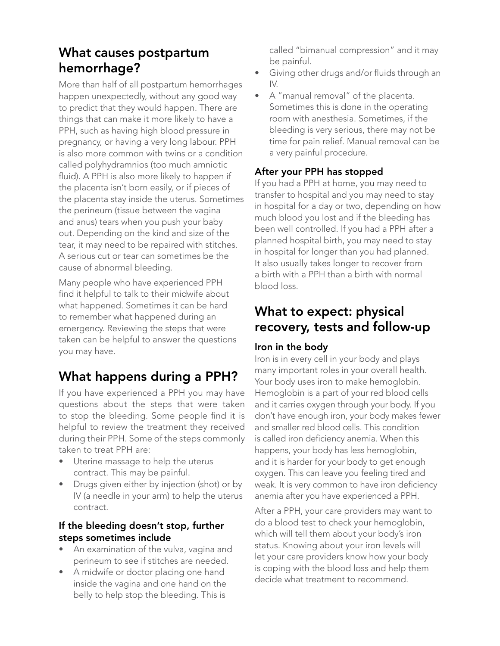### What causes postpartum hemorrhage?

More than half of all postpartum hemorrhages happen unexpectedly, without any good way to predict that they would happen. There are things that can make it more likely to have a PPH, such as having high blood pressure in pregnancy, or having a very long labour. PPH is also more common with twins or a condition called polyhydramnios (too much amniotic fluid). A PPH is also more likely to happen if the placenta isn't born easily, or if pieces of the placenta stay inside the uterus. Sometimes the perineum (tissue between the vagina and anus) tears when you push your baby out. Depending on the kind and size of the tear, it may need to be repaired with stitches. A serious cut or tear can sometimes be the cause of abnormal bleeding.

Many people who have experienced PPH find it helpful to talk to their midwife about what happened. Sometimes it can be hard to remember what happened during an emergency. Reviewing the steps that were taken can be helpful to answer the questions you may have.

# What happens during a PPH?

If you have experienced a PPH you may have questions about the steps that were taken to stop the bleeding. Some people find it is helpful to review the treatment they received during their PPH. Some of the steps commonly taken to treat PPH are:

- Uterine massage to help the uterus contract. This may be painful.
- Drugs given either by injection (shot) or by IV (a needle in your arm) to help the uterus contract.

#### If the bleeding doesn't stop, further steps sometimes include

- An examination of the vulva, vagina and perineum to see if stitches are needed.
- A midwife or doctor placing one hand inside the vagina and one hand on the belly to help stop the bleeding. This is

called "bimanual compression" and it may be painful.

- Giving other drugs and/or fluids through an IV.
- A "manual removal" of the placenta. Sometimes this is done in the operating room with anesthesia. Sometimes, if the bleeding is very serious, there may not be time for pain relief. Manual removal can be a very painful procedure.

#### After your PPH has stopped

If you had a PPH at home, you may need to transfer to hospital and you may need to stay in hospital for a day or two, depending on how much blood you lost and if the bleeding has been well controlled. If you had a PPH after a planned hospital birth, you may need to stay in hospital for longer than you had planned. It also usually takes longer to recover from a birth with a PPH than a birth with normal blood loss.

### What to expect: physical recovery, tests and follow-up

#### Iron in the body

Iron is in every cell in your body and plays many important roles in your overall health. Your body uses iron to make hemoglobin. Hemoglobin is a part of your red blood cells and it carries oxygen through your body. If you don't have enough iron, your body makes fewer and smaller red blood cells. This condition is called iron deficiency anemia. When this happens, your body has less hemoglobin, and it is harder for your body to get enough oxygen. This can leave you feeling tired and weak. It is very common to have iron deficiency anemia after you have experienced a PPH.

After a PPH, your care providers may want to do a blood test to check your hemoglobin, which will tell them about your body's iron status. Knowing about your iron levels will let your care providers know how your body is coping with the blood loss and help them decide what treatment to recommend.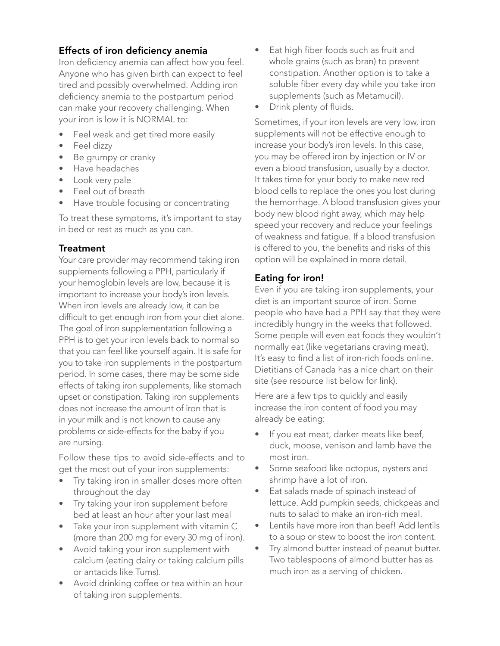#### Effects of iron deficiency anemia

Iron deficiency anemia can affect how you feel. Anyone who has given birth can expect to feel tired and possibly overwhelmed. Adding iron deficiency anemia to the postpartum period can make your recovery challenging. When your iron is low it is NORMAL to:

- Feel weak and get tired more easily
- Feel dizzy
- Be grumpy or cranky
- Have headaches
- Look very pale
- Feel out of breath
- Have trouble focusing or concentrating

To treat these symptoms, it's important to stay in bed or rest as much as you can.

#### **Treatment**

Your care provider may recommend taking iron supplements following a PPH, particularly if your hemoglobin levels are low, because it is important to increase your body's iron levels. When iron levels are already low, it can be difficult to get enough iron from your diet alone. The goal of iron supplementation following a PPH is to get your iron levels back to normal so that you can feel like yourself again. It is safe for you to take iron supplements in the postpartum period. In some cases, there may be some side effects of taking iron supplements, like stomach upset or constipation. Taking iron supplements does not increase the amount of iron that is in your milk and is not known to cause any problems or side-effects for the baby if you are nursing.

Follow these tips to avoid side-effects and to get the most out of your iron supplements:

- Try taking iron in smaller doses more often throughout the day
- Try taking your iron supplement before bed at least an hour after your last meal
- Take your iron supplement with vitamin C (more than 200 mg for every 30 mg of iron).
- Avoid taking your iron supplement with calcium (eating dairy or taking calcium pills or antacids like Tums).
- Avoid drinking coffee or tea within an hour of taking iron supplements.
- Eat high fiber foods such as fruit and whole grains (such as bran) to prevent constipation. Another option is to take a soluble fiber every day while you take iron supplements (such as Metamucil).
- Drink plenty of fluids.

Sometimes, if your iron levels are very low, iron supplements will not be effective enough to increase your body's iron levels. In this case, you may be offered iron by injection or IV or even a blood transfusion, usually by a doctor. It takes time for your body to make new red blood cells to replace the ones you lost during the hemorrhage. A blood transfusion gives your body new blood right away, which may help speed your recovery and reduce your feelings of weakness and fatigue. If a blood transfusion is offered to you, the benefits and risks of this option will be explained in more detail.

#### Eating for iron!

Even if you are taking iron supplements, your diet is an important source of iron. Some people who have had a PPH say that they were incredibly hungry in the weeks that followed. Some people will even eat foods they wouldn't normally eat (like vegetarians craving meat). It's easy to find a list of iron-rich foods online. Dietitians of Canada has a nice chart on their site (see resource list below for link).

Here are a few tips to quickly and easily increase the iron content of food you may already be eating:

- If you eat meat, darker meats like beef, duck, moose, venison and lamb have the most iron.
- Some seafood like octopus, oysters and shrimp have a lot of iron.
- Eat salads made of spinach instead of lettuce. Add pumpkin seeds, chickpeas and nuts to salad to make an iron-rich meal.
- Lentils have more iron than beef! Add lentils to a soup or stew to boost the iron content.
- Try almond butter instead of peanut butter. Two tablespoons of almond butter has as much iron as a serving of chicken.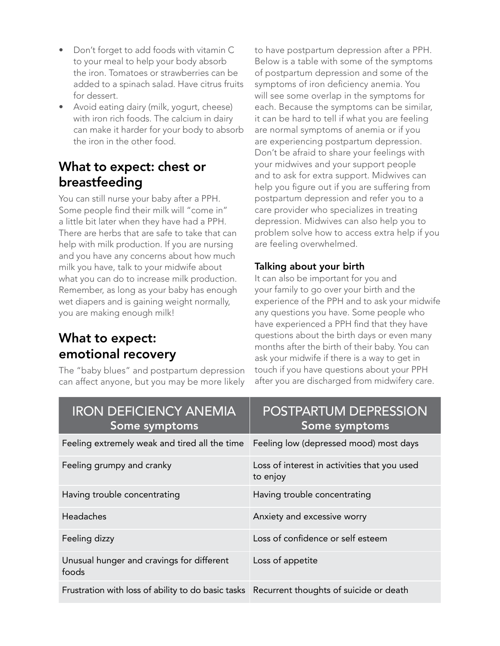- Don't forget to add foods with vitamin C to your meal to help your body absorb the iron. Tomatoes or strawberries can be added to a spinach salad. Have citrus fruits for dessert.
- Avoid eating dairy (milk, yogurt, cheese) with iron rich foods. The calcium in dairy can make it harder for your body to absorb the iron in the other food.

### What to expect: chest or breastfeeding

You can still nurse your baby after a PPH. Some people find their milk will "come in" a little bit later when they have had a PPH. There are herbs that are safe to take that can help with milk production. If you are nursing and you have any concerns about how much milk you have, talk to your midwife about what you can do to increase milk production. Remember, as long as your baby has enough wet diapers and is gaining weight normally, you are making enough milk!

### What to expect: emotional recovery

The "baby blues" and postpartum depression can affect anyone, but you may be more likely

to have postpartum depression after a PPH. Below is a table with some of the symptoms of postpartum depression and some of the symptoms of iron deficiency anemia. You will see some overlap in the symptoms for each. Because the symptoms can be similar, it can be hard to tell if what you are feeling are normal symptoms of anemia or if you are experiencing postpartum depression. Don't be afraid to share your feelings with your midwives and your support people and to ask for extra support. Midwives can help you figure out if you are suffering from postpartum depression and refer you to a care provider who specializes in treating depression. Midwives can also help you to problem solve how to access extra help if you are feeling overwhelmed.

#### Talking about your birth

It can also be important for you and your family to go over your birth and the experience of the PPH and to ask your midwife any questions you have. Some people who have experienced a PPH find that they have questions about the birth days or even many months after the birth of their baby. You can ask your midwife if there is a way to get in touch if you have questions about your PPH after you are discharged from midwifery care.

| <b>IRON DEFICIENCY ANEMIA</b><br>Some symptoms                                            | POSTPARTUM DEPRESSION<br>Some symptoms                   |
|-------------------------------------------------------------------------------------------|----------------------------------------------------------|
| Feeling extremely weak and tired all the time                                             | Feeling low (depressed mood) most days                   |
| Feeling grumpy and cranky                                                                 | Loss of interest in activities that you used<br>to enjoy |
| Having trouble concentrating                                                              | Having trouble concentrating                             |
| Headaches                                                                                 | Anxiety and excessive worry                              |
| Feeling dizzy                                                                             | Loss of confidence or self esteem                        |
| Unusual hunger and cravings for different<br>foods                                        | Loss of appetite                                         |
| Frustration with loss of ability to do basic tasks Recurrent thoughts of suicide or death |                                                          |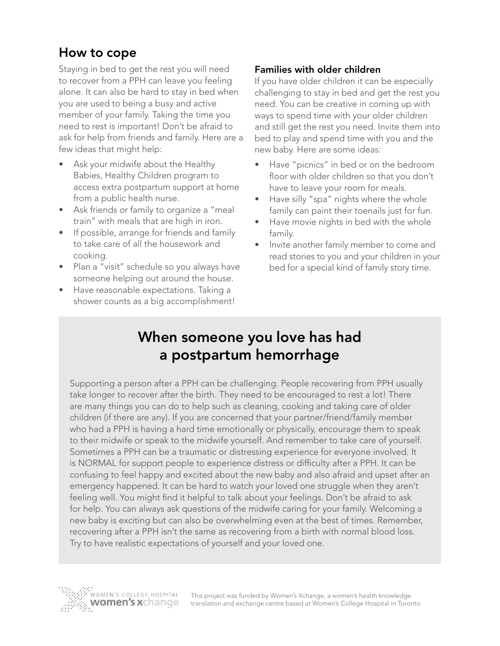### How to cope

Staying in bed to get the rest you will need to recover from a PPH can leave you feeling alone. It can also be hard to stay in bed when you are used to being a busy and active member of your family. Taking the time you need to rest is important! Don't be afraid to ask for help from friends and family. Here are a few ideas that might help:

- Ask your midwife about the Healthy Babies, Healthy Children program to access extra postpartum support at home from a public health nurse.
- Ask friends or family to organize a "meal train" with meals that are high in iron.
- If possible, arrange for friends and family to take care of all the housework and cooking.
- Plan a "visit" schedule so you always have someone helping out around the house.
- Have reasonable expectations. Taking a shower counts as a big accomplishment!

#### Families with older children

If you have older children it can be especially challenging to stay in bed and get the rest you need. You can be creative in coming up with ways to spend time with your older children and still get the rest you need. Invite them into bed to play and spend time with you and the new baby. Here are some ideas:

- Have "picnics" in bed or on the bedroom floor with older children so that you don't have to leave your room for meals.
- Have silly "spa" nights where the whole family can paint their toenails just for fun.
- Have movie nights in bed with the whole family.
- Invite another family member to come and read stories to you and your children in your bed for a special kind of family story time.

# When someone you love has had a postpartum hemorrhage

Supporting a person after a PPH can be challenging. People recovering from PPH usually take longer to recover after the birth. They need to be encouraged to rest a lot! There are many things you can do to help such as cleaning, cooking and taking care of older children (if there are any). If you are concerned that your partner/friend/family member who had a PPH is having a hard time emotionally or physically, encourage them to speak to their midwife or speak to the midwife yourself. And remember to take care of yourself. Sometimes a PPH can be a traumatic or distressing experience for everyone involved. It is NORMAL for support people to experience distress or difficulty after a PPH. It can be confusing to feel happy and excited about the new baby and also afraid and upset after an emergency happened. It can be hard to watch your loved one struggle when they aren't feeling well. You might find it helpful to talk about your feelings. Don't be afraid to ask for help. You can always ask questions of the midwife caring for your family. Welcoming a new baby is exciting but can also be overwhelming even at the best of times. Remember, recovering after a PPH isn't the same as recovering from a birth with normal blood loss. Try to have realistic expectations of yourself and your loved one.



This project was funded by Women's Xchange, a women's health knowledge translation and exchange centre based at Women's College Hospital in Toronto.